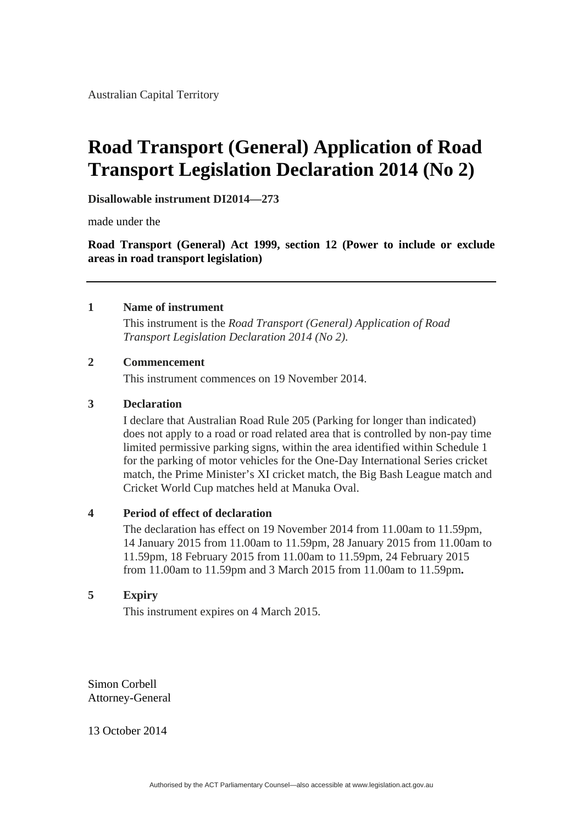# **Road Transport (General) Application of Road Transport Legislation Declaration 2014 (No 2)**

**Disallowable instrument DI2014—273**

made under the

**Road Transport (General) Act 1999, section 12 (Power to include or exclude areas in road transport legislation)**

# **1 Name of instrument**

 This instrument is the *Road Transport (General) Application of Road Transport Legislation Declaration 2014 (No 2).*

# **2 Commencement**

This instrument commences on 19 November 2014.

#### **3 Declaration**

I declare that Australian Road Rule 205 (Parking for longer than indicated) does not apply to a road or road related area that is controlled by non-pay time limited permissive parking signs, within the area identified within Schedule 1 for the parking of motor vehicles for the One-Day International Series cricket match, the Prime Minister's XI cricket match, the Big Bash League match and Cricket World Cup matches held at Manuka Oval.

# **4 Period of effect of declaration**

The declaration has effect on 19 November 2014 from 11.00am to 11.59pm, 14 January 2015 from 11.00am to 11.59pm, 28 January 2015 from 11.00am to 11.59pm, 18 February 2015 from 11.00am to 11.59pm, 24 February 2015 from 11.00am to 11.59pm and 3 March 2015 from 11.00am to 11.59pm**.** 

# **5 Expiry**

This instrument expires on 4 March 2015.

Simon Corbell Attorney-General

13 October 2014